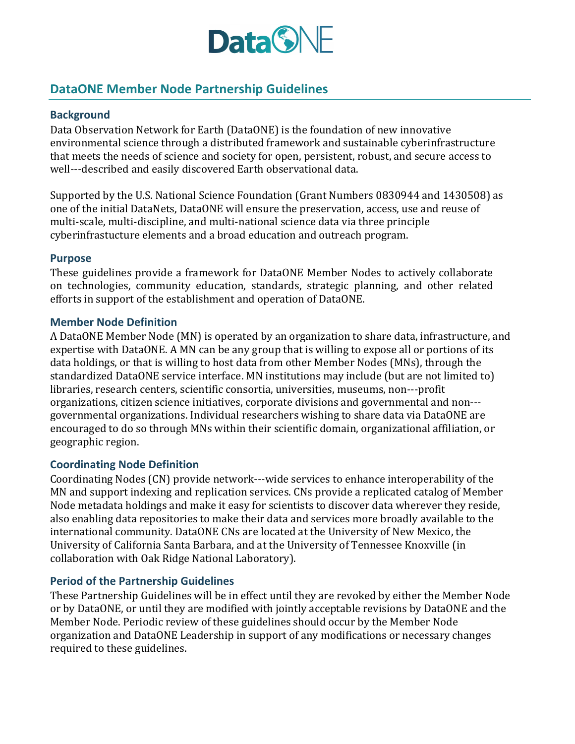

# **DataONE Member Node Partnership Guidelines**

## **Background**

Data Observation Network for Earth (DataONE) is the foundation of new innovative environmental science through a distributed framework and sustainable cyberinfrastructure that meets the needs of science and society for open, persistent, robust, and secure access to well---described and easily discovered Earth observational data.

Supported by the U.S. National Science Foundation (Grant Numbers 0830944 and 1430508) as one of the initial DataNets, DataONE will ensure the preservation, access, use and reuse of multi-scale, multi-discipline, and multi-national science data via three principle cyberinfrastucture elements and a broad education and outreach program.

#### **Purpose**

These guidelines provide a framework for DataONE Member Nodes to actively collaborate on technologies, community education, standards, strategic planning, and other related efforts in support of the establishment and operation of DataONE.

#### **Member Node Definition**

A DataONE Member Node (MN) is operated by an organization to share data, infrastructure, and expertise with DataONE. A MN can be any group that is willing to expose all or portions of its data holdings, or that is willing to host data from other Member Nodes (MNs), through the standardized DataONE service interface. MN institutions may include (but are not limited to) libraries, research centers, scientific consortia, universities, museums, non---profit organizations, citizen science initiatives, corporate divisions and governmental and non--governmental organizations. Individual researchers wishing to share data via DataONE are encouraged to do so through MNs within their scientific domain, organizational affiliation, or geographic region. 

#### **Coordinating Node Definition**

Coordinating Nodes (CN) provide network---wide services to enhance interoperability of the MN and support indexing and replication services. CNs provide a replicated catalog of Member Node metadata holdings and make it easy for scientists to discover data wherever they reside, also enabling data repositories to make their data and services more broadly available to the international community. DataONE CNs are located at the University of New Mexico, the University of California Santa Barbara, and at the University of Tennessee Knoxville (in collaboration with Oak Ridge National Laboratory).

#### **Period of the Partnership Guidelines**

These Partnership Guidelines will be in effect until they are revoked by either the Member Node or by DataONE, or until they are modified with jointly acceptable revisions by DataONE and the Member Node. Periodic review of these guidelines should occur by the Member Node organization and DataONE Leadership in support of any modifications or necessary changes required to these guidelines.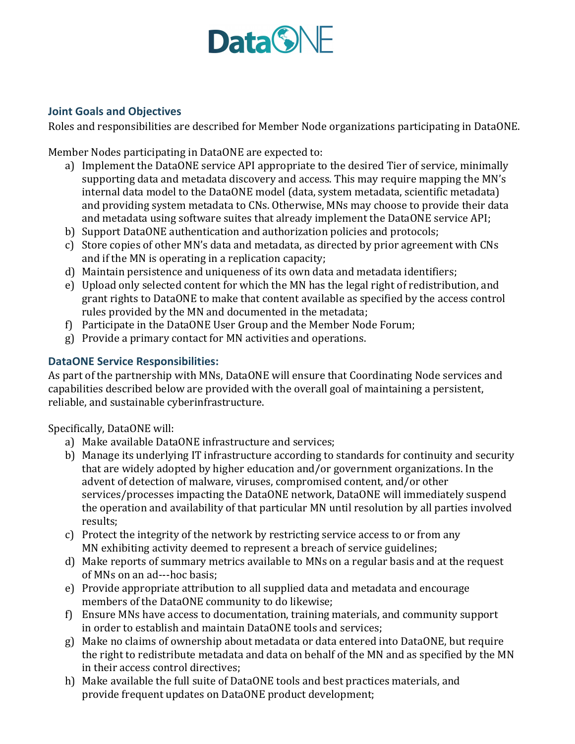

## **Joint Goals and Objectives**

Roles and responsibilities are described for Member Node organizations participating in DataONE.

Member Nodes participating in DataONE are expected to:

- a) Implement the DataONE service API appropriate to the desired Tier of service, minimally supporting data and metadata discovery and access. This may require mapping the MN's internal data model to the DataONE model (data, system metadata, scientific metadata) and providing system metadata to CNs. Otherwise, MNs may choose to provide their data and metadata using software suites that already implement the DataONE service API;
- b) Support DataONE authentication and authorization policies and protocols;
- c) Store copies of other MN's data and metadata, as directed by prior agreement with CNs and if the MN is operating in a replication capacity;
- d) Maintain persistence and uniqueness of its own data and metadata identifiers;
- e) Upload only selected content for which the MN has the legal right of redistribution, and grant rights to DataONE to make that content available as specified by the access control rules provided by the MN and documented in the metadata;
- f) Participate in the DataONE User Group and the Member Node Forum;
- g) Provide a primary contact for MN activities and operations.

# **DataONE Service Responsibilities:**

As part of the partnership with MNs, DataONE will ensure that Coordinating Node services and capabilities described below are provided with the overall goal of maintaining a persistent, reliable, and sustainable cyberinfrastructure.

Specifically, DataONE will:

- a) Make available DataONE infrastructure and services;
- b) Manage its underlying IT infrastructure according to standards for continuity and security that are widely adopted by higher education and/or government organizations. In the advent of detection of malware, viruses, compromised content, and/or other services/processes impacting the DataONE network, DataONE will immediately suspend the operation and availability of that particular MN until resolution by all parties involved results;
- c) Protect the integrity of the network by restricting service access to or from any MN exhibiting activity deemed to represent a breach of service guidelines;
- d) Make reports of summary metrics available to MNs on a regular basis and at the request of MNs on an ad---hoc basis:
- e) Provide appropriate attribution to all supplied data and metadata and encourage members of the DataONE community to do likewise;
- f) Ensure MNs have access to documentation, training materials, and community support in order to establish and maintain DataONE tools and services;
- g) Make no claims of ownership about metadata or data entered into DataONE, but require the right to redistribute metadata and data on behalf of the MN and as specified by the MN in their access control directives;
- h) Make available the full suite of DataONE tools and best practices materials, and provide frequent updates on DataONE product development;